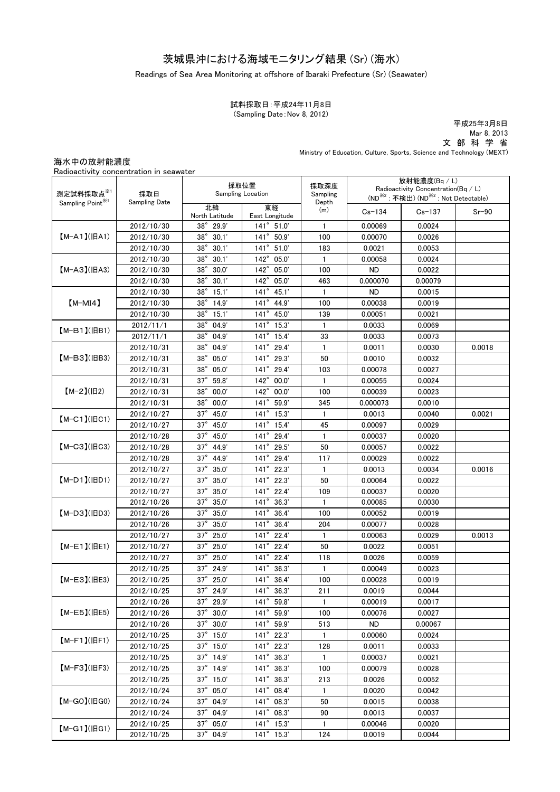# 茨城県沖における海域モニタリング結果 (Sr) (海水)

Readings of Sea Area Monitoring at offshore of Ibaraki Prefecture (Sr) (Seawater)

#### (Sampling Date:Nov 8, 2012) 試料採取日:平成24年11月8日

平成25年3月8日 Mar 8, 2013 文 部 科 学 省 Ministry of Education, Culture, Sports, Science and Technology (MEXT)

### 海水中の放射能濃度

| Radioactivity concentration in seawater |  |
|-----------------------------------------|--|
|                                         |  |

|                                                                                       |                                                                                                         | 採取位置<br><b>Sampling Location</b>      |                              | 採取深度<br>Sampling | 放射能濃度(Bq/L) |         |        |
|---------------------------------------------------------------------------------------|---------------------------------------------------------------------------------------------------------|---------------------------------------|------------------------------|------------------|-------------|---------|--------|
| 測定試料採取点 <sup>※1</sup><br>採取日<br>Sampling Point <sup>361</sup><br><b>Sampling Date</b> | Radioactivity Concentration( $Bq / L$ )<br>(ND <sup>※2</sup> : 不検出) (ND <sup>※2</sup> : Not Detectable) |                                       |                              |                  |             |         |        |
|                                                                                       | 北緯                                                                                                      | 東経                                    | Depth<br>(m)                 | $Cs - 134$       | $Cs - 137$  | $Sr-90$ |        |
|                                                                                       | 2012/10/30                                                                                              | North Latitude<br>$38^\circ$<br>29.9' | East Longitude<br>141° 51.0' | $\mathbf{1}$     | 0.00069     | 0.0024  |        |
| $[M-A1](HA1)$<br>2012/10/30                                                           |                                                                                                         | $38^{\circ}$<br>30.1'                 | 141° 50.9'                   | 100              | 0.00070     | 0.0026  |        |
|                                                                                       | 2012/10/30                                                                                              | $38^\circ$<br>30.1'                   | $141^\circ$<br>51.0'         | 183              | 0.0021      | 0.0053  |        |
|                                                                                       | 2012/10/30                                                                                              | $38^\circ$<br>30.1'                   | $142^\circ$<br>05.0'         | $\mathbf{1}$     | 0.00058     | 0.0024  |        |
| $[M-A3](HA3)$                                                                         |                                                                                                         | $38^\circ$<br>30.0'                   | $142^\circ$<br>05.0'         |                  | <b>ND</b>   |         |        |
|                                                                                       | 2012/10/30                                                                                              | $38^\circ$<br>30.1'                   | $142^\circ$<br>05.0'         | 100              |             | 0.0022  |        |
|                                                                                       | 2012/10/30                                                                                              | $38^\circ$                            | $141^\circ$                  | 463              | 0.000070    | 0.00079 |        |
| $[M-MI4]$                                                                             | 2012/10/30                                                                                              | 15.1'                                 | 45.1'<br>$141^\circ$         | $\mathbf{1}$     | <b>ND</b>   | 0.0015  |        |
|                                                                                       | 2012/10/30                                                                                              | $38^\circ$<br>14.9'                   | 44.9                         | 100              | 0.00038     | 0.0019  |        |
|                                                                                       | 2012/10/30                                                                                              | $38^\circ$<br>15.1'                   | $141^\circ$<br>45.0          | 139              | 0.00051     | 0.0021  |        |
| $(M-B1)(IBB1)$                                                                        | 2012/11/1                                                                                               | $38^\circ$<br>04.9'                   | $141^\circ$<br>15.3'         | 1                | 0.0033      | 0.0069  |        |
|                                                                                       | 2012/11/1                                                                                               | $38^\circ$<br>04.9'                   | $141^\circ$<br>15.4'         | 33               | 0.0033      | 0.0073  |        |
|                                                                                       | 2012/10/31                                                                                              | $38^\circ$<br>04.9'                   | $141^\circ$<br>29.4          | 1                | 0.0011      | 0.0030  | 0.0018 |
| $[M-B3]$ ( $IBB3$ )                                                                   | 2012/10/31                                                                                              | $38^{\circ}$<br>05.0'                 | $141^\circ$<br>29.3'         | 50               | 0.0010      | 0.0032  |        |
|                                                                                       | 2012/10/31                                                                                              | $38^\circ$<br>05.0'                   | 141° 29.4'                   | 103              | 0.00078     | 0.0027  |        |
|                                                                                       | 2012/10/31                                                                                              | $37^\circ$<br>59.8                    | 142° 00.0'                   | $\mathbf{1}$     | 0.00055     | 0.0024  |        |
| $[M-2](H2)$                                                                           | 2012/10/31                                                                                              | $38^\circ$<br>00.0'                   | $142^\circ$<br>00.0'         | 100              | 0.00039     | 0.0023  |        |
|                                                                                       | 2012/10/31                                                                                              | $38^\circ$<br>00.0'                   | 141° 59.9'                   | 345              | 0.000073    | 0.0010  |        |
| $[M-C1]$ ( $ HCl$ )                                                                   | 2012/10/27                                                                                              | $37^\circ$<br>45.0'                   | 141° 15.3'                   | 1                | 0.0013      | 0.0040  | 0.0021 |
|                                                                                       | 2012/10/27                                                                                              | $37^\circ$<br>45.0'                   | 141° 15.4'                   | 45               | 0.00097     | 0.0029  |        |
| 2012/10/28<br>$[M-C3](HC3)$<br>2012/10/28<br>2012/10/28                               |                                                                                                         | $37^\circ$<br>45.0'                   | $141^\circ$<br>29.4          | $\mathbf{1}$     | 0.00037     | 0.0020  |        |
|                                                                                       |                                                                                                         | $37^\circ$<br>44.9                    | $141^\circ$<br>29.5'         | 50               | 0.00057     | 0.0022  |        |
|                                                                                       |                                                                                                         | $37^\circ$<br>44.9                    | $141^\circ$<br>29.4'         | 117              | 0.00029     | 0.0022  |        |
|                                                                                       | 2012/10/27                                                                                              | $37^\circ$<br>35.0'                   | $141^\circ$<br>22.3'         | $\mathbf{1}$     | 0.0013      | 0.0034  | 0.0016 |
| $[M-D1]$ ( $ BD1$ )                                                                   | 2012/10/27                                                                                              | $37^\circ$<br>35.0'                   | $141^\circ$<br>22.3'         | 50               | 0.00064     | 0.0022  |        |
|                                                                                       | 2012/10/27                                                                                              | $37^\circ$<br>35.0'                   | $141^\circ$<br>22.4'         | 109              | 0.00037     | 0.0020  |        |
|                                                                                       | 2012/10/26                                                                                              | $37^\circ$<br>35.0'                   | $141^\circ$<br>36.3'         | $\mathbf{1}$     | 0.00085     | 0.0030  |        |
| $[M-D3]$ ( $ HD3$ )                                                                   | 2012/10/26                                                                                              | $37^\circ$<br>35.0'                   | $141^\circ$<br>36.4'         | 100              | 0.00052     | 0.0019  |        |
|                                                                                       | 2012/10/26                                                                                              | $37^\circ$<br>35.0'                   | $141^\circ$<br>36.4'         | 204              | 0.00077     | 0.0028  |        |
|                                                                                       | 2012/10/27                                                                                              | $37^\circ$<br>25.0'                   | $141^\circ$<br>22.4'         | $\mathbf{1}$     | 0.00063     | 0.0029  | 0.0013 |
| $(M-E1)(HE1)$                                                                         | 2012/10/27                                                                                              | $37^\circ$<br>25.0'                   | 141° 22.4'                   | 50               | 0.0022      | 0.0051  |        |
|                                                                                       | 2012/10/27                                                                                              | $37^\circ$<br>25.0'                   | 141° 22.4'                   | 118              | 0.0026      | 0.0059  |        |
|                                                                                       | 2012/10/25                                                                                              | 37° 24.9'                             | $141^\circ$<br>36.3'         | $\mathbf{1}$     | 0.00049     | 0.0023  |        |
| $[M-E3](HE3)$                                                                         | 2012/10/25                                                                                              | $37^\circ$<br>25.0'                   | $141^\circ$<br>36.4'         | 100              | 0.00028     | 0.0019  |        |
|                                                                                       | 2012/10/25                                                                                              | 37° 24.9'                             | 141° 36.3'                   | 211              | 0.0019      | 0.0044  |        |
| 2012/10/26<br>$[M-E5]$ ( $ HE5$ )<br>2012/10/26<br>2012/10/26                         | 37~<br>29.9                                                                                             | $141^\circ$<br>59.8                   | 1                            | 0.00019          | 0.0017      |         |        |
|                                                                                       |                                                                                                         | $37^\circ$<br>30.0'                   | 141° 59.9'                   | 100              | 0.00076     | 0.0027  |        |
|                                                                                       | 37° 30.0'                                                                                               | 141° 59.9'                            | 513                          | <b>ND</b>        | 0.00067     |         |        |
| 2012/10/25<br>$[M-F1](HF1)$<br>2012/10/25                                             |                                                                                                         | $37^\circ$ 15.0'                      | 141° 22.3'                   | $\mathbf{1}$     | 0.00060     | 0.0024  |        |
|                                                                                       |                                                                                                         | 37° 15.0'                             | 141° 22.3'                   | 128              | 0.0011      | 0.0033  |        |
| $[M-F3](HF3)$                                                                         | 2012/10/25                                                                                              | $37^\circ$ 14.9'                      | $141^{\circ}$ 36.3'          | $\mathbf{1}$     | 0.00037     | 0.0021  |        |
|                                                                                       | 2012/10/25                                                                                              | 37° 14.9'                             | $141^{\circ}$ 36.3'          | 100              | 0.00079     | 0.0028  |        |
|                                                                                       | 2012/10/25                                                                                              | 37° 15.0'                             | 141° 36.3'                   | 213              | 0.0026      | 0.0052  |        |
| $[M-GO](HGO)$                                                                         | 2012/10/24                                                                                              | 37° 05.0'                             | 141° 08.4'                   | 1                | 0.0020      | 0.0042  |        |
|                                                                                       | 2012/10/24                                                                                              | 37° 04.9'                             | 141° 08.3'                   | 50               | 0.0015      | 0.0038  |        |
|                                                                                       | 2012/10/24                                                                                              | 37° 04.9'                             | 141° 08.3'                   | 90               | 0.0013      | 0.0037  |        |
|                                                                                       | 2012/10/25                                                                                              | 37° 05.0'                             | $141^{\circ}$ 15.3'          | $\mathbf{1}$     | 0.00046     | 0.0020  |        |
| $[M-G1](HG1)$                                                                         | 2012/10/25                                                                                              | 37° 04.9'                             | $141^{\circ}$ 15.3'          | 124              | 0.0019      | 0.0044  |        |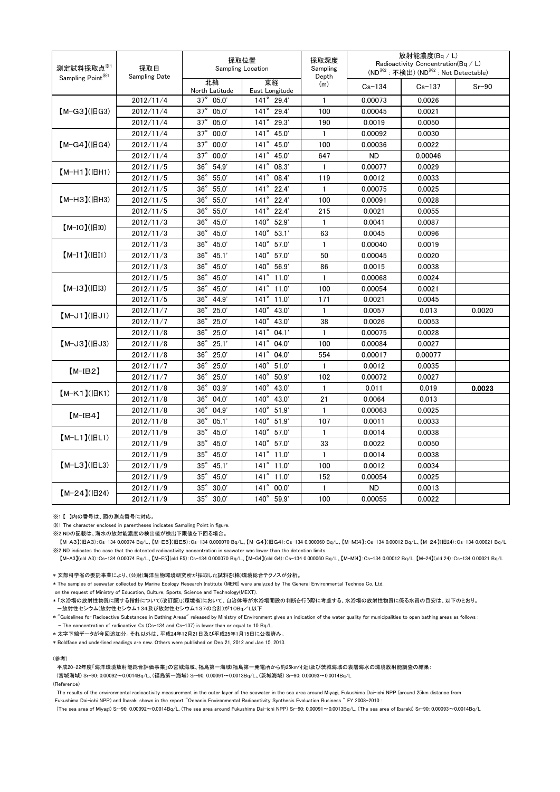| 測定試料採取点※1<br>採取日<br><b>Sampling Date</b><br>Sampling Point <sup>※1</sup> | 採取位置<br><b>Sampling Location</b> |                       | 採取深度<br>Sampling<br>Depth | 放射能濃度(Bq/L)<br>Radioactivity Concentration(Bq / L)<br>(ND <sup>※2</sup> : 不検出) (ND <sup>※2</sup> : Not Detectable) |            |            |         |
|--------------------------------------------------------------------------|----------------------------------|-----------------------|---------------------------|--------------------------------------------------------------------------------------------------------------------|------------|------------|---------|
|                                                                          |                                  | 北緯<br>North Latitude  | 東経<br>East Longitude      | (m)                                                                                                                | $Cs - 134$ | $Cs - 137$ | $Sr-90$ |
|                                                                          | 2012/11/4                        | 05.0'<br>$37^\circ$   | 141° 29.4'                | 1                                                                                                                  | 0.00073    | 0.0026     |         |
| $[M-G3]$ ( $H$ G3)                                                       | 2012/11/4                        | $37^\circ$<br>05.0'   | 141° 29.4'                | 100                                                                                                                | 0.00045    | 0.0021     |         |
|                                                                          | 2012/11/4                        | 05.0'<br>$37^\circ$   | $141^\circ$<br>29.3'      | 190                                                                                                                | 0.0019     | 0.0050     |         |
| $[M-G4](HG4)$                                                            | 2012/11/4                        | $37^\circ$<br>00.0'   | $141^\circ$<br>45.0'      | $\mathbf{1}$                                                                                                       | 0.00092    | 0.0030     |         |
|                                                                          | 2012/11/4                        | $37^\circ$<br>00.0'   | $141^\circ$<br>45.0'      | 100                                                                                                                | 0.00036    | 0.0022     |         |
|                                                                          | 2012/11/4                        | $37^\circ$<br>00.0'   | $141^\circ$<br>45.0       | 647                                                                                                                | <b>ND</b>  | 0.00046    |         |
| $(M-H1)(HH1)$                                                            | 2012/11/5                        | $36^\circ$<br>54.9'   | $141^\circ$<br>08.3       | $\mathbf{1}$                                                                                                       | 0.00077    | 0.0029     |         |
|                                                                          | 2012/11/5                        | $36^{\circ}$<br>55.0' | 141° 08.4'                | 119                                                                                                                | 0.0012     | 0.0033     |         |
|                                                                          | 2012/11/5                        | 55.0'<br>$36^\circ$   | 22.4'<br>$141^\circ$      | $\mathbf{1}$                                                                                                       | 0.00075    | 0.0025     |         |
| $[M-H3](HH3)$                                                            | 2012/11/5                        | $36^\circ$<br>55.0'   | $141^\circ$<br>22.4'      | 100                                                                                                                | 0.00091    | 0.0028     |         |
|                                                                          | 2012/11/5                        | $36^\circ$<br>55.0'   | $141^\circ$<br>22.4'      | 215                                                                                                                | 0.0021     | 0.0055     |         |
| $[M-IO](\vert$ HIO)                                                      | 2012/11/3                        | 45.0'<br>$36^\circ$   | $140^\circ$<br>52.9'      | $\mathbf{1}$                                                                                                       | 0.0041     | 0.0087     |         |
|                                                                          | 2012/11/3                        | $36^\circ$<br>45.0'   | $140^\circ$<br>53.1'      | 63                                                                                                                 | 0.0045     | 0.0096     |         |
| $[M-I1]( H1)$                                                            | 2012/11/3                        | $36^\circ$<br>45.0    | $140^\circ$<br>57.0'      | $\mathbf{1}$                                                                                                       | 0.00040    | 0.0019     |         |
|                                                                          | 2012/11/3                        | $36^\circ$<br>45.1'   | 57.0'<br>$140^\circ$      | 50                                                                                                                 | 0.00045    | 0.0020     |         |
|                                                                          | 2012/11/3                        | $36^\circ$<br>45.0'   | $140^\circ$<br>56.9'      | 86                                                                                                                 | 0.0015     | 0.0038     |         |
|                                                                          | 2012/11/5                        | $36^\circ$<br>45.0'   | $141^\circ$<br>11.0'      | $\mathbf{1}$                                                                                                       | 0.00068    | 0.0024     |         |
| $[M-I3](H13)$                                                            | 2012/11/5                        | $36^\circ$<br>45.0'   | $141^\circ$<br>11.0'      | 100                                                                                                                | 0.00054    | 0.0021     |         |
|                                                                          | 2012/11/5                        | $36^\circ$<br>44.9    | $141^\circ$<br>11.0'      | 171                                                                                                                | 0.0021     | 0.0045     |         |
| $(M-J1)(HJI)$                                                            | 2012/11/7                        | $36^\circ$<br>25.0'   | $140^\circ$<br>43.0       | $\mathbf{1}$                                                                                                       | 0.0057     | 0.013      | 0.0020  |
|                                                                          | 2012/11/7                        | $36^\circ$<br>25.0'   | $140^\circ$<br>43.0       | 38                                                                                                                 | 0.0026     | 0.0053     |         |
| $[M-J3](HJ3)$                                                            | 2012/11/8                        | $36^{\circ}$<br>25.0' | $141^\circ$<br>04.1'      | $\mathbf{1}$                                                                                                       | 0.00075    | 0.0028     |         |
|                                                                          | 2012/11/8                        | $36^\circ$<br>25.1'   | $141^\circ$<br>04.0'      | 100                                                                                                                | 0.00084    | 0.0027     |         |
|                                                                          | 2012/11/8                        | $36^\circ$<br>25.0'   | $141^\circ$<br>04.0'      | 554                                                                                                                | 0.00017    | 0.00077    |         |
| $[M-IB2]$                                                                | 2012/11/7                        | $36^\circ$<br>25.0'   | $140^\circ$<br>51.0'      | 1                                                                                                                  | 0.0012     | 0.0035     |         |
|                                                                          | 2012/11/7                        | $36^\circ$<br>25.0'   | $140^\circ$<br>50.9'      | 102                                                                                                                | 0.00072    | 0.0027     |         |
| $[M-K1](HK1)$                                                            | 2012/11/8                        | $36^\circ$<br>03.9'   | $140^\circ$<br>43.0       | $\mathbf{1}$                                                                                                       | 0.011      | 0.019      | 0.0023  |
|                                                                          | 2012/11/8                        | $36^\circ$<br>04.0'   | $140^\circ$<br>43.0       | 21                                                                                                                 | 0.0064     | 0.013      |         |
| $[M-IB4]$                                                                | 2012/11/8                        | $36^\circ$<br>04.9'   | $140^\circ$<br>51.9'      | 1                                                                                                                  | 0.00063    | 0.0025     |         |
|                                                                          | 2012/11/8                        | $36^\circ$<br>05.1'   | $140^\circ$<br>51.9'      | 107                                                                                                                | 0.0011     | 0.0033     |         |
| $[M-L1]( HL1)$                                                           | 2012/11/9                        | $35^\circ$<br>45.0'   | $140^\circ$<br>57.0'      | 1                                                                                                                  | 0.0014     | 0.0038     |         |
|                                                                          | 2012/11/9                        | $35^\circ$<br>45.0'   | $140^\circ$<br>57.0'      | 33                                                                                                                 | 0.0022     | 0.0050     |         |
| $[M-L3](HL3)$                                                            | 2012/11/9                        | $35^\circ$<br>45.0'   | $141^\circ$<br>11.0'      | $\mathbf{1}$                                                                                                       | 0.0014     | 0.0038     |         |
|                                                                          | 2012/11/9                        | $35^\circ$<br>45.1'   | $141^\circ$<br>11.0'      | 100                                                                                                                | 0.0012     | 0.0034     |         |
|                                                                          | 2012/11/9                        | $35^\circ$<br>45.0'   | $141^\circ$<br>11.0'      | 152                                                                                                                | 0.00054    | 0.0025     |         |
| $(M-24)(H24)$                                                            | 2012/11/9                        | $35^\circ$<br>30.0'   | $141^\circ$<br>00.0'      | 1                                                                                                                  | <b>ND</b>  | 0.0013     |         |
|                                                                          | 2012/11/9                        | 35° 30.0'             | 140° 59.9'                | 100                                                                                                                | 0.00055    | 0.0022     |         |

※1 【 】内の番号は、図の測点番号に対応。

※1 The character enclosed in parentheses indicates Sampling Point in figure.

※2 NDの記載は、海水の放射能濃度の検出値が検出下限値を下回る場合。

【M-A3】(旧A3):Cs-134 0.00074 Bq/L、【M-E5】(旧E5):Cs-134 0.000070 Bq/L、【M-G4】(旧G4):Cs-134 0.000060 Bq/L、【M-MI4】:Cs-134 0.00012 Bq/L、【M-24】(旧24):Cs-134 0.00021 Bq/L ※2 ND indicates the case that the detected radioactivity concentration in seawater was lower than the detection limits.

【M-A3】(old A3):Cs-134 0.00074 Bq/L、【M-E5】(old E5):Cs-134 0.000070 Bq/L、【M-G4】(old G4):Cs-134 0.000060 Bq/L、【M-MI4】:Cs-134 0.00012 Bq/L, 【M-24】(old 24):Cs-134 0.00021 Bq/L

\* 文部科学省の委託事業により、(公財)海洋生物環境研究所が採取した試料を(株)環境総合テクノスが分析。

\* The samples of seawater collected by Marine Ecology Research Institute (MERI) were analyzed by The General Environmental Technos Co. Ltd.,

on the request of Ministry of Education, Culture, Sports, Science and Technology(MEXT).

\* 「水浴場の放射性物質に関する指針について(改訂版)」(環境省)において、自治体等が水浴場開設の判断を行う際に考慮する、水浴場の放射性物質に係る水質の目安は、以下のとおり。 -放射性セシウム(放射性セシウム134及び放射性セシウム137の合計)が10Bq/L以下

\* "Guidelines for Radioactive Substances in Bathing Areas" released by Ministry of Environment gives an indication of the water quality for municipalities to open bathing areas as follows : - The concentration of radioactive Cs (Cs-134 and Cs-137) is lower than or equal to 10 Bq/L.

\* 太字下線データが今回追加分。それ以外は、平成24年12月21日及び平成25年1月15日に公表済み。

\* Boldface and underlined readings are new. Others were published on Dec 21, 2012 and Jan 15, 2013.

(参考)

平成20-22年度「海洋環境放射能総合評価事業」の宮城海域、福島第一海域(福島第一発電所から約25km付近)及び茨城海域の表層海水の環境放射能調査の結果:

(宮城海域) Sr-90: 0.00092~0.0014Bq/L、(福島第一海域) Sr-90: 0.00091~0.0013Bq/L、(茨城海域) Sr-90: 0.00093~0.0014Bq/L

(Reference)

The results of the environmental radioactivity measurement in the outer layer of the seawater in the sea area around Miyagi, Fukushima Dai-ichi NPP (around 25km distance from Fukushima Dai-ichi NPP) and Ibaraki shown in the report "Oceanic Environmental Radioactivity Synthesis Evaluation Business " FY 2008-2010 :

(The sea area of Miyagi) Sr-90: 0.00092~0.0014Bq/L, (The sea area around Fukushima Dai-ichi NPP) Sr-90: 0.00091~0.0013Bq/L, (The sea area of Ibaraki) Sr-90: 0.00093~0.0014Bq/L